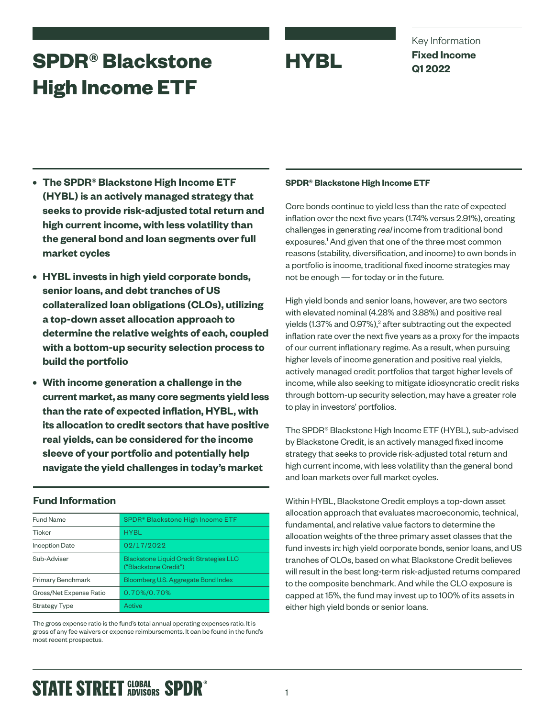# **SPDR® Blackstone HYBL High Income ETF**

Key Information **Fixed Income Q1 2022**

- **• The SPDR® Blackstone High Income ETF (HYBL) is an actively managed strategy that seeks to provide risk-adjusted total return and high current income, with less volatility than the general bond and loan segments over full market cycles**
- **• HYBL invests in high yield corporate bonds, senior loans, and debt tranches of US collateralized loan obligations (CLOs), utilizing a top-down asset allocation approach to determine the relative weights of each, coupled with a bottom-up security selection process to build the portfolio**
- **• With income generation a challenge in the current market, as many core segments yield less than the rate of expected inflation, HYBL, with its allocation to credit sectors that have positive real yields, can be considered for the income sleeve of your portfolio and potentially help navigate the yield challenges in today's market**

## **Fund Information**

| <b>Fund Name</b>        | SPDR <sup>®</sup> Blackstone High Income ETF                            |
|-------------------------|-------------------------------------------------------------------------|
| Ticker                  | <b>HYBL</b>                                                             |
| <b>Inception Date</b>   | 02/17/2022                                                              |
| Sub-Adviser             | <b>Blackstone Liquid Credit Strategies LLC</b><br>("Blackstone Credit") |
| Primary Benchmark       | Bloomberg U.S. Aggregate Bond Index                                     |
| Gross/Net Expense Ratio | 0.70%/0.70%                                                             |
| <b>Strategy Type</b>    | Active                                                                  |

The gross expense ratio is the fund's total annual operating expenses ratio. It is gross of any fee waivers or expense reimbursements. It can be found in the fund's most recent prospectus.

### **SPDR® Blackstone High Income ETF**

Core bonds continue to yield less than the rate of expected inflation over the next five years (1.74% versus 2.91%), creating challenges in generating *real* income from traditional bond exposures.<sup>1</sup> And given that one of the three most common reasons (stability, diversification, and income) to own bonds in a portfolio is income, traditional fixed income strategies may not be enough — for today or in the future.

High yield bonds and senior loans, however, are two sectors with elevated nominal (4.28% and 3.88%) and positive real yields (1.37% and 0.97%), $^2$  after subtracting out the expected inflation rate over the next five years as a proxy for the impacts of our current inflationary regime. As a result, when pursuing higher levels of income generation and positive real yields, actively managed credit portfolios that target higher levels of income, while also seeking to mitigate idiosyncratic credit risks through bottom-up security selection, may have a greater role to play in investors' portfolios.

The SPDR® Blackstone High Income ETF (HYBL), sub-advised by Blackstone Credit, is an actively managed fixed income strategy that seeks to provide risk-adjusted total return and high current income, with less volatility than the general bond and loan markets over full market cycles.

Within HYBL, Blackstone Credit employs a top-down asset allocation approach that evaluates macroeconomic, technical, fundamental, and relative value factors to determine the allocation weights of the three primary asset classes that the fund invests in: high yield corporate bonds, senior loans, and US tranches of CLOs, based on what Blackstone Credit believes will result in the best long-term risk-adjusted returns compared to the composite benchmark. And while the CLO exposure is capped at 15%, the fund may invest up to 100% of its assets in either high yield bonds or senior loans.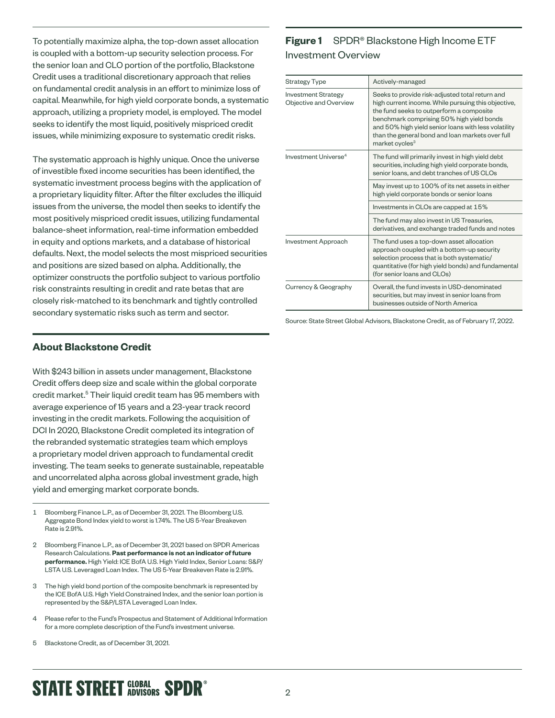To potentially maximize alpha, the top-down asset allocation is coupled with a bottom-up security selection process. For the senior loan and CLO portion of the portfolio, Blackstone Credit uses a traditional discretionary approach that relies on fundamental credit analysis in an effort to minimize loss of capital. Meanwhile, for high yield corporate bonds, a systematic approach, utilizing a propriety model, is employed. The model seeks to identify the most liquid, positively mispriced credit issues, while minimizing exposure to systematic credit risks.

The systematic approach is highly unique. Once the universe of investible fixed income securities has been identified, the systematic investment process begins with the application of a proprietary liquidity filter. After the filter excludes the illiquid issues from the universe, the model then seeks to identify the most positively mispriced credit issues, utilizing fundamental balance-sheet information, real-time information embedded in equity and options markets, and a database of historical defaults. Next, the model selects the most mispriced securities and positions are sized based on alpha. Additionally, the optimizer constructs the portfolio subject to various portfolio risk constraints resulting in credit and rate betas that are closely risk-matched to its benchmark and tightly controlled secondary systematic risks such as term and sector.

# **Figure 1** SPDR® Blackstone High Income ETF Investment Overview

| <b>Strategy Type</b>                                 | Actively-managed                                                                                                                                                                                                                                                                                                                          |
|------------------------------------------------------|-------------------------------------------------------------------------------------------------------------------------------------------------------------------------------------------------------------------------------------------------------------------------------------------------------------------------------------------|
| <b>Investment Strategy</b><br>Objective and Overview | Seeks to provide risk-adjusted total return and<br>high current income. While pursuing this objective,<br>the fund seeks to outperform a composite<br>benchmark comprising 50% high yield bonds<br>and 50% high yield senior loans with less volatility<br>than the general bond and loan markets over full<br>market cycles <sup>3</sup> |
| Investment Universe <sup>4</sup>                     | The fund will primarily invest in high yield debt<br>securities, including high yield corporate bonds,<br>senior loans, and debt tranches of US CLOs                                                                                                                                                                                      |
|                                                      | May invest up to 100% of its net assets in either<br>high yield corporate bonds or senior loans                                                                                                                                                                                                                                           |
|                                                      | Investments in CLOs are capped at 15%                                                                                                                                                                                                                                                                                                     |
|                                                      | The fund may also invest in US Treasuries,<br>derivatives, and exchange traded funds and notes                                                                                                                                                                                                                                            |
| Investment Approach                                  | The fund uses a top-down asset allocation<br>approach coupled with a bottom-up security<br>selection process that is both systematic/<br>quantitative (for high yield bonds) and fundamental<br>(for senior loans and CLOs)                                                                                                               |
| Currency & Geography                                 | Overall, the fund invests in USD-denominated<br>securities, but may invest in senior loans from<br>businesses outside of North America                                                                                                                                                                                                    |

Source: State Street Global Advisors, Blackstone Credit, as of February 17, 2022.

### **About Blackstone Credit**

With \$243 billion in assets under management, Blackstone Credit offers deep size and scale within the global corporate credit market.<sup>5</sup> Their liquid credit team has 95 members with average experience of 15 years and a 23-year track record investing in the credit markets. Following the acquisition of DCI In 2020, Blackstone Credit completed its integration of the rebranded systematic strategies team which employs a proprietary model driven approach to fundamental credit investing. The team seeks to generate sustainable, repeatable and uncorrelated alpha across global investment grade, high yield and emerging market corporate bonds.

- 1 Bloomberg Finance L.P., as of December 31, 2021. The Bloomberg U.S. Aggregate Bond Index yield to worst is 1.74%. The US 5-Year Breakeven Rate is 2.91%.
- 2 Bloomberg Finance L.P., as of December 31, 2021 based on SPDR Americas Research Calculations. **Past performance is not an indicator of future performance.** High Yield: ICE BofA U.S. High Yield Index, Senior Loans: S&P/ LSTA U.S. Leveraged Loan Index. The US 5-Year Breakeven Rate is 2.91%.
- 3 The high yield bond portion of the composite benchmark is represented by the ICE BofA U.S. High Yield Constrained Index, and the senior loan portion is represented by the S&P/LSTA Leveraged Loan Index.
- 4 Please refer to the Fund's Prospectus and Statement of Additional Information for a more complete description of the Fund's investment universe.
- 5 Blackstone Credit, as of December 31, 2021.

# **STATE STREET GLOBAL SPDR<sup>®</sup>**